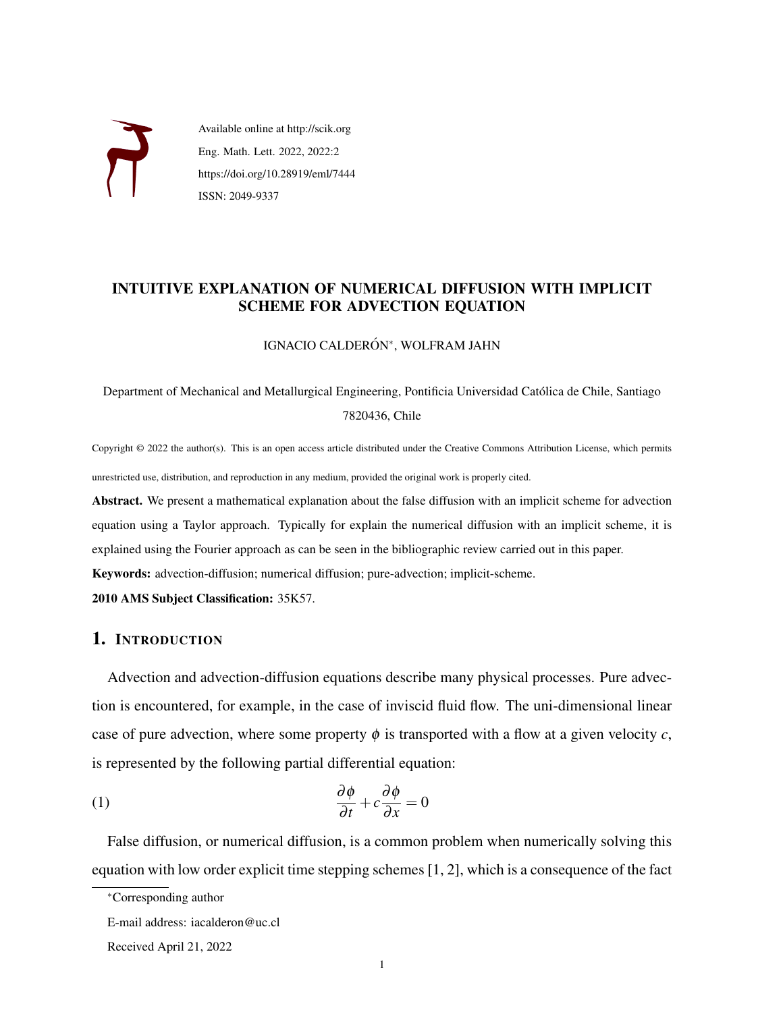

Available online at http://scik.org Eng. Math. Lett. 2022, 2022:2 https://doi.org/10.28919/eml/7444 ISSN: 2049-9337

# INTUITIVE EXPLANATION OF NUMERICAL DIFFUSION WITH IMPLICIT SCHEME FOR ADVECTION EQUATION

### IGNACIO CALDERÓN\*, WOLFRAM JAHN

Department of Mechanical and Metallurgical Engineering, Pontificia Universidad Catolica de Chile, Santiago ´ 7820436, Chile

Copyright © 2022 the author(s). This is an open access article distributed under the Creative Commons Attribution License, which permits unrestricted use, distribution, and reproduction in any medium, provided the original work is properly cited.

Abstract. We present a mathematical explanation about the false diffusion with an implicit scheme for advection equation using a Taylor approach. Typically for explain the numerical diffusion with an implicit scheme, it is explained using the Fourier approach as can be seen in the bibliographic review carried out in this paper.

Keywords: advection-diffusion; numerical diffusion; pure-advection; implicit-scheme.

2010 AMS Subject Classification: 35K57.

## 1. INTRODUCTION

Advection and advection-diffusion equations describe many physical processes. Pure advection is encountered, for example, in the case of inviscid fluid flow. The uni-dimensional linear case of pure advection, where some property  $\phi$  is transported with a flow at a given velocity *c*, is represented by the following partial differential equation:

<span id="page-0-0"></span>(1) 
$$
\frac{\partial \phi}{\partial t} + c \frac{\partial \phi}{\partial x} = 0
$$

False diffusion, or numerical diffusion, is a common problem when numerically solving this equation with low order explicit time stepping schemes [\[1,](#page-5-0) [2\]](#page-5-1), which is a consequence of the fact

<sup>∗</sup>Corresponding author

E-mail address: iacalderon@uc.cl

Received April 21, 2022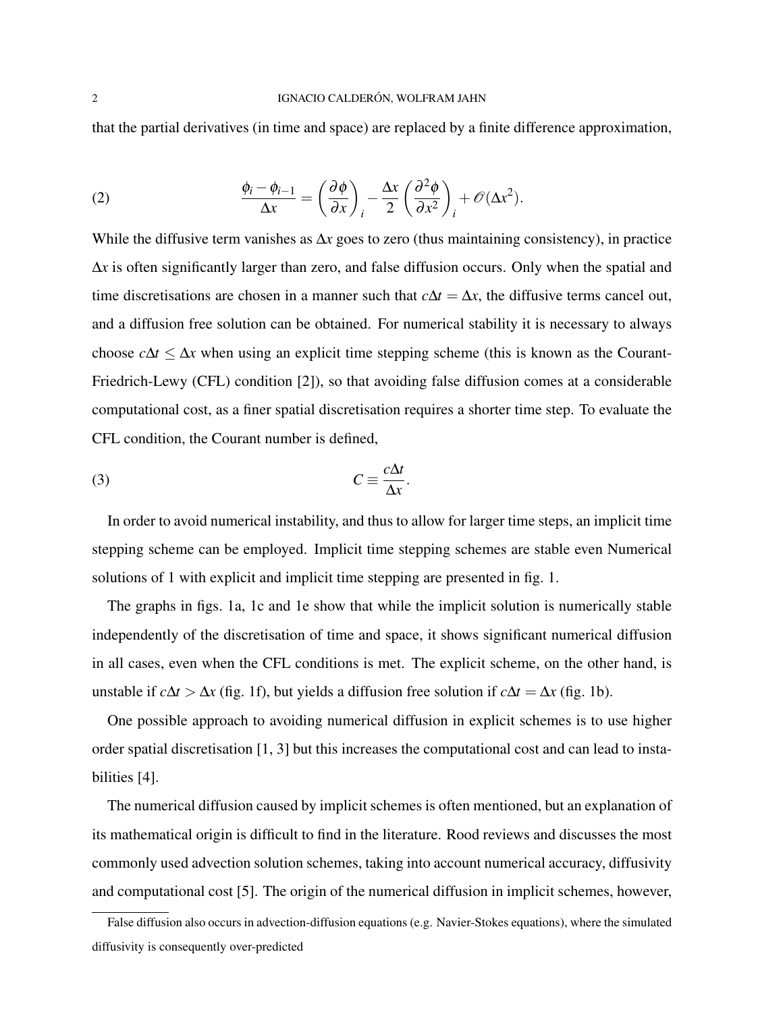that the partial derivatives (in time and space) are replaced by a finite difference approximation,

(2) 
$$
\frac{\phi_i - \phi_{i-1}}{\Delta x} = \left(\frac{\partial \phi}{\partial x}\right)_i - \frac{\Delta x}{2} \left(\frac{\partial^2 \phi}{\partial x^2}\right)_i + \mathcal{O}(\Delta x^2).
$$

While the diffusive term vanishes as ∆*x* goes to zero (thus maintaining consistency), in practice ∆*x* is often significantly larger than zero, and false diffusion occur[s.](#page-1-0) Only when the spatial and time discretisations are chosen in a manner such that  $c\Delta t = \Delta x$ , the diffusive terms cancel out, and a diffusion free solution can be obtained. For numerical stability it is necessary to always choose  $c\Delta t \leq \Delta x$  when using an explicit time stepping scheme (this is known as the Courant-Friedrich-Lewy (CFL) condition [\[2\]](#page-5-1)), so that avoiding false diffusion comes at a considerable computational cost, as a finer spatial discretisation requires a shorter time step. To evaluate the CFL condition, the Courant number is defined,

$$
C \equiv \frac{c\Delta t}{\Delta x}.
$$

In order to avoid numerical instability, and thus to allow for larger time steps, an implicit time stepping scheme can be employed. Implicit time stepping schemes are stable even Numerical solutions of [1](#page-0-0) with explicit and implicit time stepping are presented in fig. [1.](#page-2-0)

The graphs in figs. [1a, 1c](#page-2-0) and [1e](#page-2-0) show that while the implicit solution is numerically stable independently of the discretisation of time and space, it shows significant numerical diffusion in all cases, even when the CFL conditions is met. The explicit scheme, on the other hand, is unstable if  $c\Delta t > \Delta x$  (fig. [1f\)](#page-2-0), but yields a diffusion free solution if  $c\Delta t = \Delta x$  (fig. [1b\)](#page-2-0).

One possible approach to avoiding numerical diffusion in explicit schemes is to use higher order spatial discretisation [\[1,](#page-5-0) [3\]](#page-5-2) but this increases the computational cost and can lead to instabilities [\[4\]](#page-5-3).

The numerical diffusion caused by implicit schemes is often mentioned, but an explanation of its mathematical origin is difficult to find in the literature. Rood reviews and discusses the most commonly used advection solution schemes, taking into account numerical accuracy, diffusivity and computational cost [\[5\]](#page-5-4). The origin of the numerical diffusion in implicit schemes, however,

<span id="page-1-0"></span>False diffusion also occurs in advection-diffusion equations (e.g. Navier-Stokes equations), where the simulated diffusivity is consequently over-predicted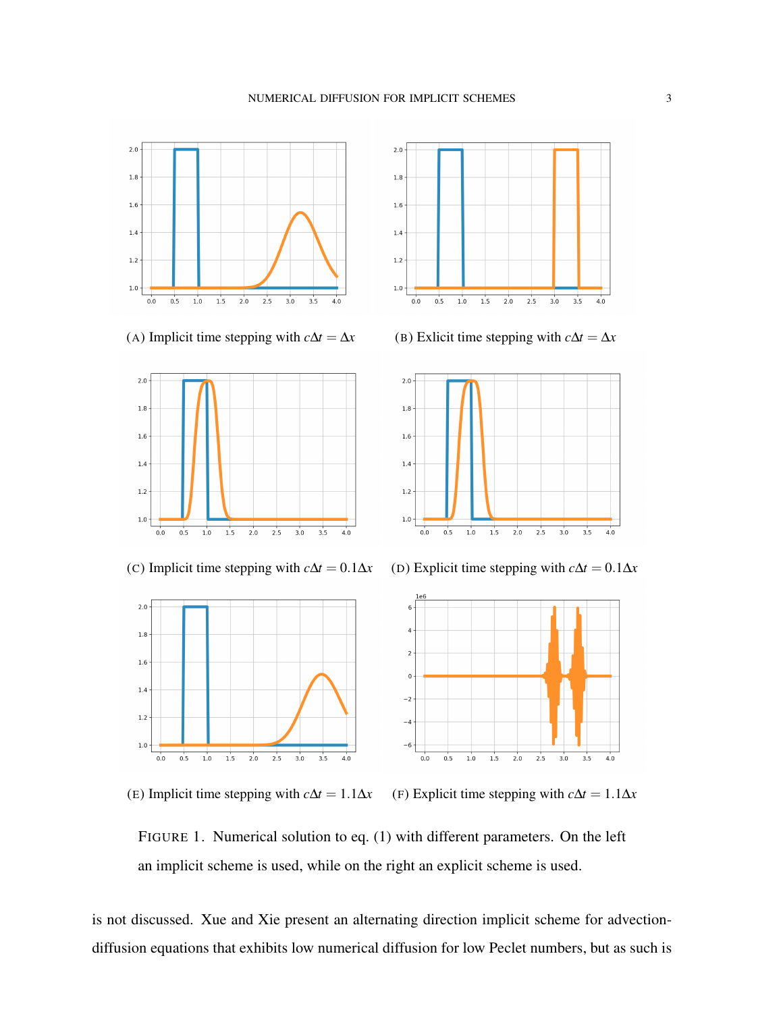<span id="page-2-0"></span>

















FIGURE 1. Numerical solution to eq. [\(1\)](#page-0-0) with different parameters. On the left an implicit scheme is used, while on the right an explicit scheme is used.

is not discussed. Xue and Xie present an alternating direction implicit scheme for advectiondiffusion equations that exhibits low numerical diffusion for low Peclet numbers, but as such is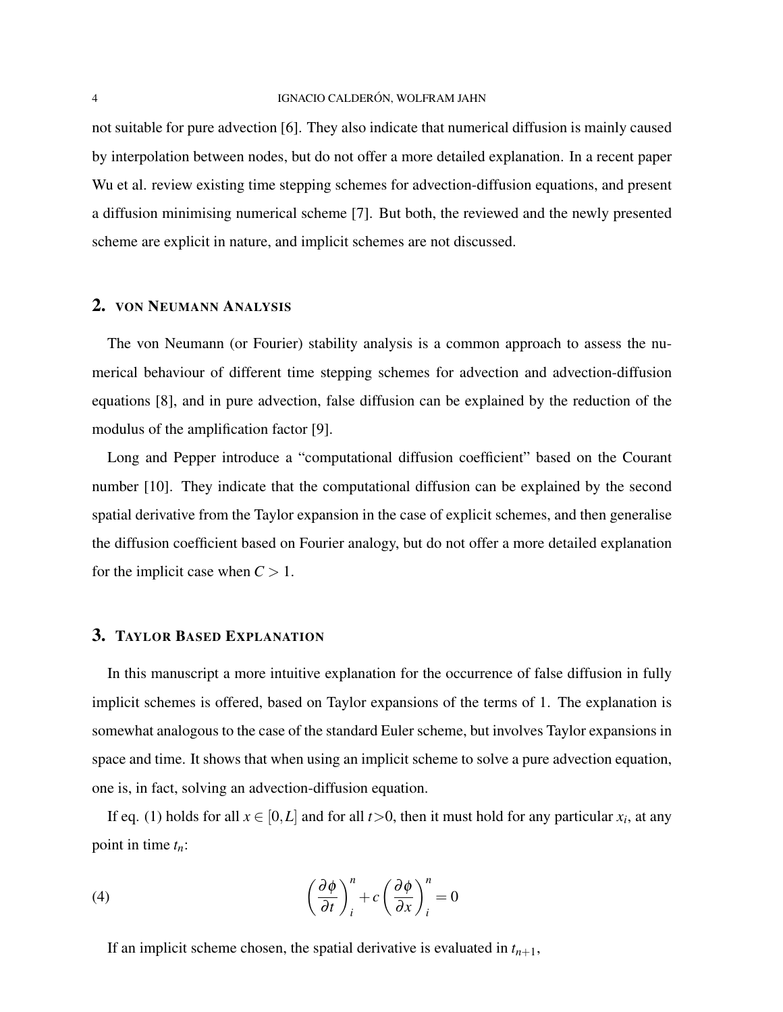not suitable for pure advection [\[6\]](#page-5-5). They also indicate that numerical diffusion is mainly caused by interpolation between nodes, but do not offer a more detailed explanation. In a recent paper Wu et al. review existing time stepping schemes for advection-diffusion equations, and present a diffusion minimising numerical scheme [\[7\]](#page-5-6). But both, the reviewed and the newly presented scheme are explicit in nature, and implicit schemes are not discussed.

## 2. VON NEUMANN ANALYSIS

The von Neumann (or Fourier) stability analysis is a common approach to assess the numerical behaviour of different time stepping schemes for advection and advection-diffusion equations [\[8\]](#page-5-7), and in pure advection, false diffusion can be explained by the reduction of the modulus of the amplification factor [\[9\]](#page-5-8).

Long and Pepper introduce a "computational diffusion coefficient" based on the Courant number [\[10\]](#page-5-9). They indicate that the computational diffusion can be explained by the second spatial derivative from the Taylor expansion in the case of explicit schemes, and then generalise the diffusion coefficient based on Fourier analogy, but do not offer a more detailed explanation for the implicit case when  $C > 1$ .

#### 3. TAYLOR BASED EXPLANATION

In this manuscript a more intuitive explanation for the occurrence of false diffusion in fully implicit schemes is offered, based on Taylor expansions of the terms of [1.](#page-0-0) The explanation is somewhat analogous to the case of the standard Euler scheme, but involves Taylor expansions in space and time. It shows that when using an implicit scheme to solve a pure advection equation, one is, in fact, solving an advection-diffusion equation.

If eq. [\(1\)](#page-0-0) holds for all  $x \in [0,L]$  and for all  $t > 0$ , then it must hold for any particular  $x_i$ , at any point in time *tn*:

(4) 
$$
\left(\frac{\partial \phi}{\partial t}\right)_i^n + c \left(\frac{\partial \phi}{\partial x}\right)_i^n = 0
$$

If an implicit scheme chosen, the spatial derivative is evaluated in  $t_{n+1}$ ,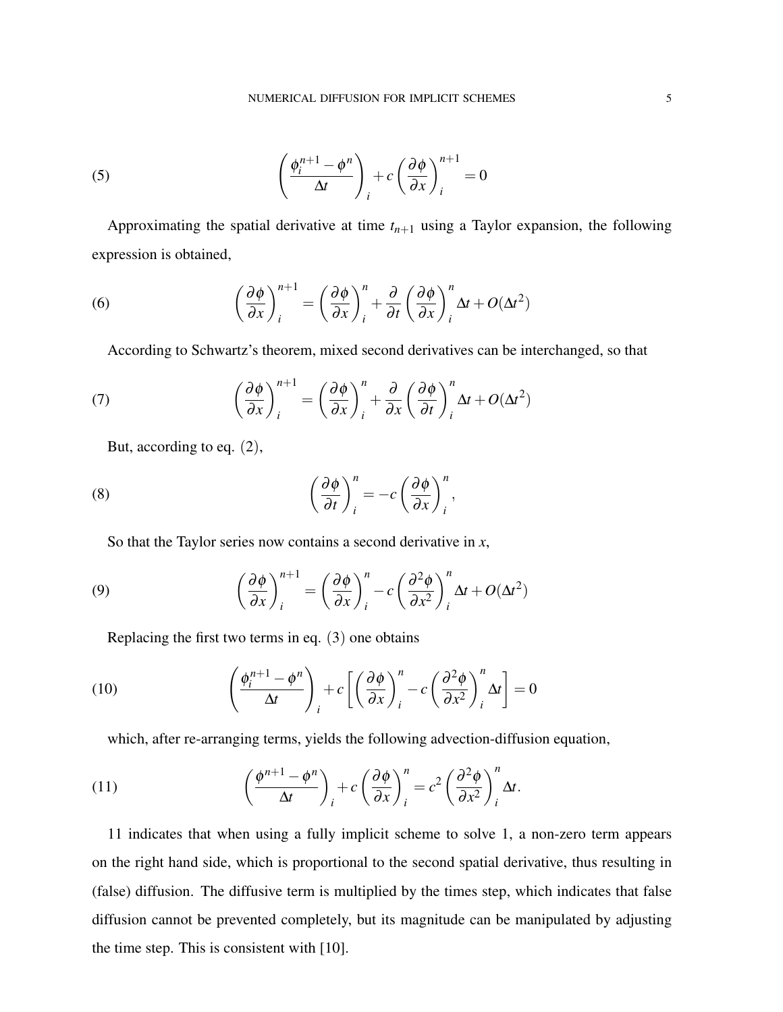(5) 
$$
\left(\frac{\phi_i^{n+1} - \phi^n}{\Delta t}\right)_i + c \left(\frac{\partial \phi}{\partial x}\right)_i^{n+1} = 0
$$

Approximating the spatial derivative at time  $t_{n+1}$  using a Taylor expansion, the following expression is obtained,

(6) 
$$
\left(\frac{\partial \phi}{\partial x}\right)_i^{n+1} = \left(\frac{\partial \phi}{\partial x}\right)_i^n + \frac{\partial}{\partial t}\left(\frac{\partial \phi}{\partial x}\right)_i^n \Delta t + O(\Delta t^2)
$$

According to Schwartz's theorem, mixed second derivatives can be interchanged, so that

(7) 
$$
\left(\frac{\partial \phi}{\partial x}\right)_i^{n+1} = \left(\frac{\partial \phi}{\partial x}\right)_i^n + \frac{\partial}{\partial x}\left(\frac{\partial \phi}{\partial t}\right)_i^n \Delta t + O(\Delta t^2)
$$

But, according to eq. (2),

(8) 
$$
\left(\frac{\partial \phi}{\partial t}\right)_i^n = -c \left(\frac{\partial \phi}{\partial x}\right)_i^n,
$$

So that the Taylor series now contains a second derivative in *x*,

(9) 
$$
\left(\frac{\partial \phi}{\partial x}\right)_i^{n+1} = \left(\frac{\partial \phi}{\partial x}\right)_i^n - c \left(\frac{\partial^2 \phi}{\partial x^2}\right)_i^n \Delta t + O(\Delta t^2)
$$

Replacing the first two terms in eq. (3) one obtains

(10) 
$$
\left(\frac{\phi_i^{n+1} - \phi^n}{\Delta t}\right)_i + c \left[ \left(\frac{\partial \phi}{\partial x}\right)_i^n - c \left(\frac{\partial^2 \phi}{\partial x^2}\right)_i^n \Delta t \right] = 0
$$

<span id="page-4-0"></span>which, after re-arranging terms, yields the following advection-diffusion equation,

(11) 
$$
\left(\frac{\phi^{n+1}-\phi^n}{\Delta t}\right)_i + c\left(\frac{\partial\phi}{\partial x}\right)_i^n = c^2\left(\frac{\partial^2\phi}{\partial x^2}\right)_i^n \Delta t.
$$

[11](#page-4-0) indicates that when using a fully implicit scheme to solve [1,](#page-0-0) a non-zero term appears on the right hand side, which is proportional to the second spatial derivative, thus resulting in (false) diffusion. The diffusive term is multiplied by the times step, which indicates that false diffusion cannot be prevented completely, but its magnitude can be manipulated by adjusting the time step. This is consistent with [\[10\]](#page-5-9).